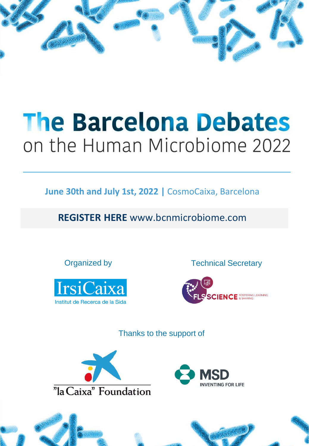

**June 30th and July 1st, 2022 |** CosmoCaixa, Barcelona

**REGISTER HERE** [www.bcnmicrobiome.com](http://www.bcnmicrobiome.com)



**Organized by Technical Secretary** 



Thanks to the support of



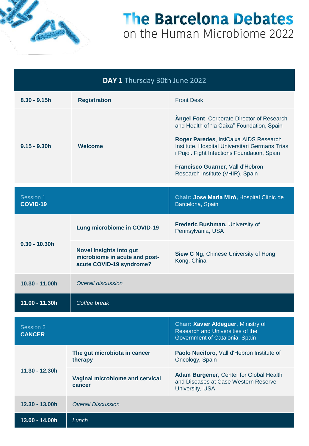

| DAY 1 Thursday 30th June 2022 |                                                                                             |                                                                                                                                                                                                                                                                                                                    |
|-------------------------------|---------------------------------------------------------------------------------------------|--------------------------------------------------------------------------------------------------------------------------------------------------------------------------------------------------------------------------------------------------------------------------------------------------------------------|
| $8.30 - 9.15h$                | <b>Registration</b>                                                                         | <b>Front Desk</b>                                                                                                                                                                                                                                                                                                  |
| $9.15 - 9.30h$                | Welcome                                                                                     | <b>Angel Font, Corporate Director of Research</b><br>and Health of "la Caixa" Foundation, Spain<br>Roger Paredes, IrsiCaixa AIDS Research<br>Institute. Hospital Universitari Germans Trias<br>i Pujol. Fight Infections Foundation, Spain<br>Francisco Guarner, Vall d'Hebron<br>Research Institute (VHIR), Spain |
| Session 1<br><b>COVID-19</b>  |                                                                                             | Chair: Jose Maria Miró, Hospital Clínic de<br>Barcelona, Spain                                                                                                                                                                                                                                                     |
| $9.30 - 10.30h$               | <b>Lung microbiome in COVID-19</b>                                                          | Frederic Bushman, University of<br>Pennsylvania, USA                                                                                                                                                                                                                                                               |
|                               | <b>Novel Insights into gut</b><br>microbiome in acute and post-<br>acute COVID-19 syndrome? | <b>Siew C Ng, Chinese University of Hong</b><br>Kong, China                                                                                                                                                                                                                                                        |
| 10.30 - 11.00h                | <b>Overall discussion</b>                                                                   |                                                                                                                                                                                                                                                                                                                    |
| 11.00 - 11.30h                | Coffee break                                                                                |                                                                                                                                                                                                                                                                                                                    |
| Session 2<br><b>CANCER</b>    |                                                                                             | Chair: Xavier Aldeguer, Ministry of<br>Research and Universities of the<br>Government of Catalonia, Spain                                                                                                                                                                                                          |
| 11.30 - 12.30h                | The gut microbiota in cancer<br>therapy                                                     | Paolo Nuciforo, Vall d'Hebron Institute of<br>Oncology, Spain                                                                                                                                                                                                                                                      |
|                               | Vaginal microbiome and cervical<br>cancer                                                   | Adam Burgener, Center for Global Health<br>and Diseases at Case Western Reserve<br>University, USA                                                                                                                                                                                                                 |
| 12.30 - 13.00h                | <b>Overall Discussion</b>                                                                   |                                                                                                                                                                                                                                                                                                                    |
| 13.00 - 14.00h                | Lunch                                                                                       |                                                                                                                                                                                                                                                                                                                    |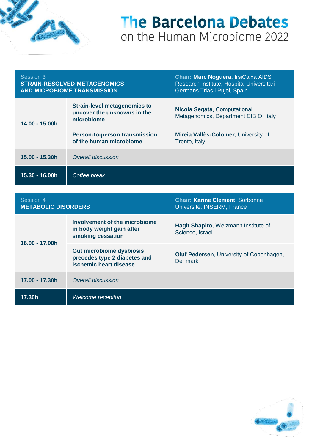

| Session 3<br><b>STRAIN-RESOLVED METAGENOMICS</b><br><b>AND MICROBIOME TRANSMISSION</b> |                                                                                  | Chair: Marc Noguera, IrsiCaixa AIDS<br>Research Institute, Hospital Universitari<br>Germans Trias i Pujol, Spain |
|----------------------------------------------------------------------------------------|----------------------------------------------------------------------------------|------------------------------------------------------------------------------------------------------------------|
| 14.00 - 15.00h                                                                         | <b>Strain-level metagenomics to</b><br>uncover the unknowns in the<br>microbiome | Nicola Segata, Computational<br>Metagenomics, Department CIBIO, Italy                                            |
|                                                                                        | Person-to-person transmission<br>of the human microbiome                         | Mireia Vallès-Colomer, University of<br>Trento, Italy                                                            |
| 15.00 - 15.30h                                                                         | Overall discussion                                                               |                                                                                                                  |
| 15.30 - 16.00h                                                                         | Coffee break                                                                     |                                                                                                                  |
|                                                                                        |                                                                                  |                                                                                                                  |
|                                                                                        |                                                                                  |                                                                                                                  |

| Session 4<br><b>METABOLIC DISORDERS</b> |                                                                                           | <b>Chair: Karine Clement, Sorbonne</b><br>Université, INSERM, France |
|-----------------------------------------|-------------------------------------------------------------------------------------------|----------------------------------------------------------------------|
| 16.00 - 17.00h                          | Involvement of the microbiome<br>in body weight gain after<br>smoking cessation           | Hagit Shapiro, Weizmann Institute of<br>Science, Israel              |
|                                         | <b>Gut microbiome dysbiosis</b><br>precedes type 2 diabetes and<br>ischemic heart disease | Oluf Pedersen, University of Copenhagen,<br><b>Denmark</b>           |
| 17.00 - 17.30h                          | Overall discussion                                                                        |                                                                      |
| 17.30h                                  | Welcome reception                                                                         |                                                                      |

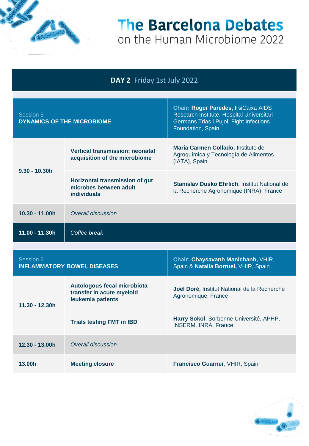

#### **DAY 2** Friday 1st July 2022

| Session 5<br><b>DYNAMICS OF THE MICROBIOME</b> |                                                                                | Chair: Roger Paredes, IrsiCaixa AIDS<br>Research Institute. Hospital Universitari<br>Germans Trias i Pujol. Fight Infections<br>Foundation, Spain |
|------------------------------------------------|--------------------------------------------------------------------------------|---------------------------------------------------------------------------------------------------------------------------------------------------|
| $9.30 - 10.30h$                                | <b>Vertical transmission: neonatal</b><br>acquisition of the microbiome        | Maria Carmen Collado, Instituto de<br>Agroquímica y Tecnología de Alimentos<br>(IATA), Spain                                                      |
|                                                | Horizontal transmission of gut<br>microbes between adult<br><b>individuals</b> | <b>Stanislav Dusko Ehrlich, Institut National de</b><br>la Recherche Agronomique (INRA), France                                                   |
| $10.30 - 11.00h$                               | Overall discussion                                                             |                                                                                                                                                   |
| 11.00 - 11.30h                                 | Coffee break                                                                   |                                                                                                                                                   |
|                                                |                                                                                |                                                                                                                                                   |
| Session 6                                      |                                                                                | Chair: Chaysavanh Manichanh, VHIR,                                                                                                                |

| ט ווטוטטע<br><b>INFLAMMATORY BOWEL DISEASES</b> |                                                                               | $\mathbf{v}$ nan Dinayoayanni manifonanni, yi m $\alpha$<br>Spain & Natalia Borruel, VHIR, Spain |
|-------------------------------------------------|-------------------------------------------------------------------------------|--------------------------------------------------------------------------------------------------|
| $11.30 - 12.30h$                                | Autologous fecal microbiota<br>transfer in acute myeloid<br>leukemia patients | <b>Joël Doré, Institut National de la Recherche</b><br>Agronomique, France                       |
|                                                 | <b>Trials testing FMT in IBD</b>                                              | Harry Sokol, Sorbonne Université, APHP,<br><b>INSERM, INRA, France</b>                           |
| 12.30 - 13.00h                                  | Overall discussion                                                            |                                                                                                  |
| 13.00h                                          | <b>Meeting closure</b>                                                        | Francisco Guarner, VHIR, Spain                                                                   |